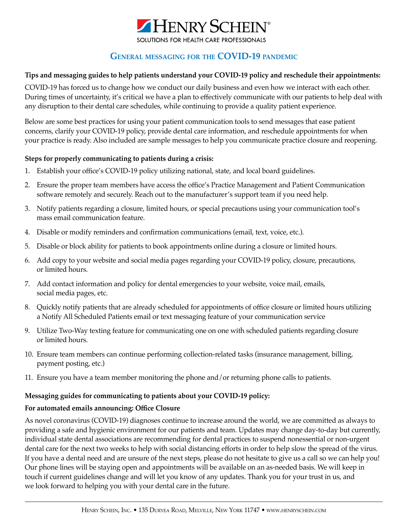

# **General messaging for the COVID-19 pandemic**

#### **Tips and messaging guides to help patients understand your COVID-19 policy and reschedule their appointments:**

COVID-19 has forced us to change how we conduct our daily business and even how we interact with each other. During times of uncertainty, it's critical we have a plan to effectively communicate with our patients to help deal with any disruption to their dental care schedules, while continuing to provide a quality patient experience.

Below are some best practices for using your patient communication tools to send messages that ease patient concerns, clarify your COVID-19 policy, provide dental care information, and reschedule appointments for when your practice is ready. Also included are sample messages to help you communicate practice closure and reopening.

# **Steps for properly communicating to patients during a crisis:**

- 1. Establish your office's COVID-19 policy utilizing national, state, and local board guidelines.
- 2. Ensure the proper team members have access the office's Practice Management and Patient Communication software remotely and securely. Reach out to the manufacturer's support team if you need help.
- 3. Notify patients regarding a closure, limited hours, or special precautions using your communication tool's mass email communication feature.
- 4. Disable or modify reminders and confirmation communications (email, text, voice, etc.).
- 5. Disable or block ability for patients to book appointments online during a closure or limited hours.
- 6. Add copy to your website and social media pages regarding your COVID-19 policy, closure, precautions, or limited hours.
- 7. Add contact information and policy for dental emergencies to your website, voice mail, emails, social media pages, etc.
- 8. Quickly notify patients that are already scheduled for appointments of office closure or limited hours utilizing a Notify All Scheduled Patients email or text messaging feature of your communication service
- 9. Utilize Two-Way texting feature for communicating one on one with scheduled patients regarding closure or limited hours.
- 10. Ensure team members can continue performing collection-related tasks (insurance management, billing, payment posting, etc.)
- 11. Ensure you have a team member monitoring the phone and/or returning phone calls to patients.

#### **Messaging guides for communicating to patients about your COVID-19 policy:**

#### **For automated emails announcing: Office Closure**

As novel coronavirus (COVID-19) diagnoses continue to increase around the world, we are committed as always to providing a safe and hygienic environment for our patients and team. Updates may change day-to-day but currently, individual state dental associations are recommending for dental practices to suspend nonessential or non-urgent dental care for the next two weeks to help with social distancing efforts in order to help slow the spread of the virus. If you have a dental need and are unsure of the next steps, please do not hesitate to give us a call so we can help you! Our phone lines will be staying open and appointments will be available on an as-needed basis. We will keep in touch if current guidelines change and will let you know of any updates. Thank you for your trust in us, and we look forward to helping you with your dental care in the future.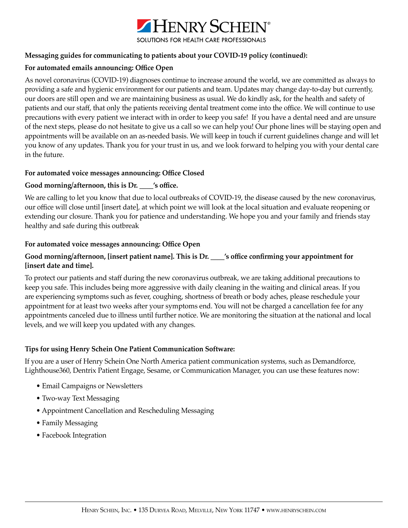

#### **Messaging guides for communicating to patients about your COVID-19 policy (continued):**

#### **For automated emails announcing: Office Open**

As novel coronavirus (COVID-19) diagnoses continue to increase around the world, we are committed as always to providing a safe and hygienic environment for our patients and team. Updates may change day-to-day but currently, our doors are still open and we are maintaining business as usual. We do kindly ask, for the health and safety of patients and our staff, that only the patients receiving dental treatment come into the office. We will continue to use precautions with every patient we interact with in order to keep you safe! If you have a dental need and are unsure of the next steps, please do not hesitate to give us a call so we can help you! Our phone lines will be staying open and appointments will be available on an as-needed basis. We will keep in touch if current guidelines change and will let you know of any updates. Thank you for your trust in us, and we look forward to helping you with your dental care in the future.

#### **For automated voice messages announcing: Office Closed**

# **Good morning/afternoon, this is Dr. \_\_\_\_'s office.**

We are calling to let you know that due to local outbreaks of COVID-19, the disease caused by the new coronavirus, our office will close until [insert date], at which point we will look at the local situation and evaluate reopening or extending our closure. Thank you for patience and understanding. We hope you and your family and friends stay healthy and safe during this outbreak

# **For automated voice messages announcing: Office Open**

# **Good morning/afternoon, [insert patient name]. This is Dr. \_\_\_\_'s office confirming your appointment for [insert date and time].**

To protect our patients and staff during the new coronavirus outbreak, we are taking additional precautions to keep you safe. This includes being more aggressive with daily cleaning in the waiting and clinical areas. If you are experiencing symptoms such as fever, coughing, shortness of breath or body aches, please reschedule your appointment for at least two weeks after your symptoms end. You will not be charged a cancellation fee for any appointments canceled due to illness until further notice. We are monitoring the situation at the national and local levels, and we will keep you updated with any changes.

#### **Tips for using Henry Schein One Patient Communication Software:**

If you are a user of Henry Schein One North America patient communication systems, such as Demandforce, Lighthouse360, Dentrix Patient Engage, Sesame, or Communication Manager, you can use these features now:

- Email Campaigns or Newsletters
- Two-way Text Messaging
- Appointment Cancellation and Rescheduling Messaging
- Family Messaging
- Facebook Integration